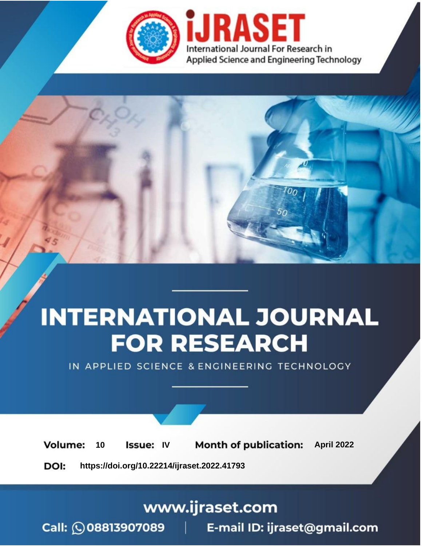

# **INTERNATIONAL JOURNAL FOR RESEARCH**

IN APPLIED SCIENCE & ENGINEERING TECHNOLOGY

10 **Issue: IV Month of publication:** April 2022 **Volume:** 

**https://doi.org/10.22214/ijraset.2022.41793**DOI:

www.ijraset.com

Call: 008813907089 | E-mail ID: ijraset@gmail.com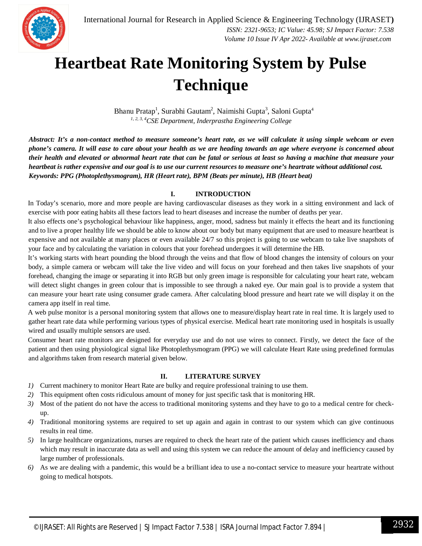## **Heartbeat Rate Monitoring System by Pulse Technique**

Bhanu Pratap<sup>1</sup>, Surabhi Gautam<sup>2</sup>, Naimishi Gupta<sup>3</sup>, Saloni Gupta<sup>4</sup> *1, 2, 3, 4CSE Department, Inderprastha Engineering College*

*Abstract: It's a non-contact method to measure someone's heart rate, as we will calculate it using simple webcam or even phone's camera. It will ease to care about your health as we are heading towards an age where everyone is concerned about their health and elevated or abnormal heart rate that can be fatal or serious at least so having a machine that measure your heartbeat is rather expensive and our goal is to use our current resources to measure one's heartrate without additional cost. Keywords: PPG (Photoplethysmogram), HR (Heart rate), BPM (Beats per minute), HB (Heart beat)* 

## **I. INTRODUCTION**

In Today's scenario, more and more people are having cardiovascular diseases as they work in a sitting environment and lack of exercise with poor eating habits all these factors lead to heart diseases and increase the number of deaths per year.

It also effects one's psychological behaviour like happiness, anger, mood, sadness but mainly it effects the heart and its functioning and to live a proper healthy life we should be able to know about our body but many equipment that are used to measure heartbeat is expensive and not available at many places or even available 24/7 so this project is going to use webcam to take live snapshots of your face and by calculating the variation in colours that your forehead undergoes it will determine the HB.

It's working starts with heart pounding the blood through the veins and that flow of blood changes the intensity of colours on your body, a simple camera or webcam will take the live video and will focus on your forehead and then takes live snapshots of your forehead, changing the image or separating it into RGB but only green image is responsible for calculating your heart rate, webcam will detect slight changes in green colour that is impossible to see through a naked eye. Our main goal is to provide a system that can measure your heart rate using consumer grade camera. After calculating blood pressure and heart rate we will display it on the camera app itself in real time.

A web pulse monitor is a personal monitoring system that allows one to measure/display heart rate in real time. It is largely used to gather heart rate data while performing various types of physical exercise. Medical heart rate monitoring used in hospitals is usually wired and usually multiple sensors are used.

Consumer heart rate monitors are designed for everyday use and do not use wires to connect. Firstly, we detect the face of the patient and then using physiological signal like Photoplethysmogram (PPG) we will calculate Heart Rate using predefined formulas and algorithms taken from research material given below.

## **II. LITERATURE SURVEY**

- *1)* Current machinery to monitor Heart Rate are bulky and require professional training to use them.
- *2)* This equipment often costs ridiculous amount of money for just specific task that is monitoring HR.
- *3)* Most of the patient do not have the access to traditional monitoring systems and they have to go to a medical centre for checkup.
- *4)* Traditional monitoring systems are required to set up again and again in contrast to our system which can give continuous results in real time.
- *5)* In large healthcare organizations, nurses are required to check the heart rate of the patient which causes inefficiency and chaos which may result in inaccurate data as well and using this system we can reduce the amount of delay and inefficiency caused by large number of professionals.
- *6)* As we are dealing with a pandemic, this would be a brilliant idea to use a no-contact service to measure your heartrate without going to medical hotspots.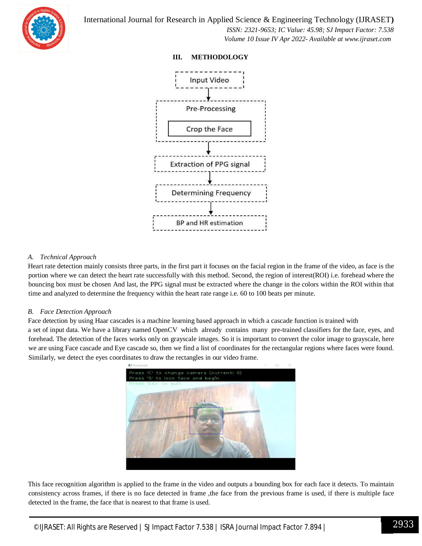

 *ISSN: 2321-9653; IC Value: 45.98; SJ Impact Factor: 7.538 Volume 10 Issue IV Apr 2022- Available at www.ijraset.com*

## **III. METHODOLOGY**



## *A. Technical Approach*

Heart rate detection mainly consists three parts, in the first part it focuses on the facial region in the frame of the video, as face is the portion where we can detect the heart rate successfully with this method. Second, the region of interest(ROI) i.e. forehead where the bouncing box must be chosen And last, the PPG signal must be extracted where the change in the colors within the ROI within that time and analyzed to determine the frequency within the heart rate range i.e. 60 to 100 beats per minute.

## *B. Face Detection Approach*

Face detection by using Haar cascades is a machine learning based approach in which a cascade function is trained with a set of input data. We have a library named OpenCV which already contains many pre-trained classifiers for the face, eyes, and forehead. The detection of the faces works only on grayscale images. So it is important to convert the color image to grayscale, here we are using Face cascade and Eye cascade so, then we find a list of coordinates for the rectangular regions where faces were found. Similarly, we detect the eyes coordinates to draw the rectangles in our video frame.



This face recognition algorithm is applied to the frame in the video and outputs a bounding box for each face it detects. To maintain consistency across frames, if there is no face detected in frame ,the face from the previous frame is used, if there is multiple face detected in the frame, the face that is nearest to that frame is used.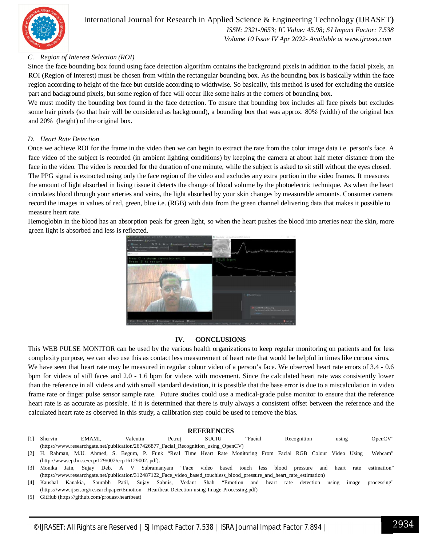

## International Journal for Research in Applied Science & Engineering Technology (IJRASET**)**

 *ISSN: 2321-9653; IC Value: 45.98; SJ Impact Factor: 7.538 Volume 10 Issue IV Apr 2022- Available at www.ijraset.com*

## *C. Region of Interest Selection (ROI)*

Since the face bounding box found using face detection algorithm contains the background pixels in addition to the facial pixels, an ROI (Region of Interest) must be chosen from within the rectangular bounding box. As the bounding box is basically within the face region according to height of the face but outside according to widthwise. So basically, this method is used for excluding the outside part and background pixels, but some region of face will occur like some hairs at the corners of bounding box.

We must modify the bounding box found in the face detection. To ensure that bounding box includes all face pixels but excludes some hair pixels (so that hair will be considered as background), a bounding box that was approx. 80% (width) of the original box and 20% (height) of the original box.

### *D. Heart Rate Detection*

Once we achieve ROI for the frame in the video then we can begin to extract the rate from the color image data i.e. person's face. A face video of the subject is recorded (in ambient lighting conditions) by keeping the camera at about half meter distance from the face in the video. The video is recorded for the duration of one minute, while the subject is asked to sit still without the eyes closed. The PPG signal is extracted using only the face region of the video and excludes any extra portion in the video frames. It measures the amount of light absorbed in living tissue it detects the change of blood volume by the photoelectric technique. As when the heart circulates blood through your arteries and veins, the light absorbed by your skin changes by measurable amounts. Consumer camera record the images in values of red, green, blue i.e. (RGB) with data from the green channel delivering data that makes it possible to measure heart rate.

Hemoglobin in the blood has an absorption peak for green light, so when the heart pushes the blood into arteries near the skin, more green light is absorbed and less is reflected.



## **IV. CONCLUSIONS**

This WEB PULSE MONITOR can be used by the various health organizations to keep regular monitoring on patients and for less complexity purpose, we can also use this as contact less measurement of heart rate that would be helpful in times like corona virus. We have seen that heart rate may be measured in regular colour video of a person's face. We observed heart rate errors of 3.4 - 0.6 bpm for videos of still faces and 2.0 - 1.6 bpm for videos with movement. Since the calculated heart rate was consistently lower than the reference in all videos and with small standard deviation, it is possible that the base error is due to a miscalculation in video frame rate or finger pulse sensor sample rate. Future studies could use a medical-grade pulse monitor to ensure that the reference heart rate is as accurate as possible. If it is determined that there is truly always a consistent offset between the reference and the calculated heart rate as observed in this study, a calibration step could be used to remove the bias.

#### **REFERENCES**

- [1] Shervin EMAMI, Valentin Petruț SUCIU "Facial Recognition using OpenCV" (https://www.researchgate.net/publication/267426877\_Facial\_Recognition\_using\_OpenCV)
- [2] H. Rahman, M.U. Ahmed, S. Begum, P. Funk "Real Time Heart Rate Monitoring From Facial RGB Colour Video Using Webcam" (http://www.ep.liu.se/ecp/129/002/ecp16129002. pdf).
- [3] Monika Jain, Sujay Deb, A V Subramanyam "Face video based touch less blood pressure and heart rate estimation" (https://www.researchgate.net/publication/312487122\_Face\_video\_based\_touchless\_blood\_pressure\_and\_heart\_rate\_estimation)
- [4] Kaushal Kanakia, Saurabh Patil, Sujay Sabnis, Vedant Shah "Emotion and heart rate detection using image processing" (https://www.ijser.org/researchpaper/Emotion- Heartbeat-Detection-using-Image-Processing.pdf)
- [5] GitHub (https://github.com/prouast/heartbeat)